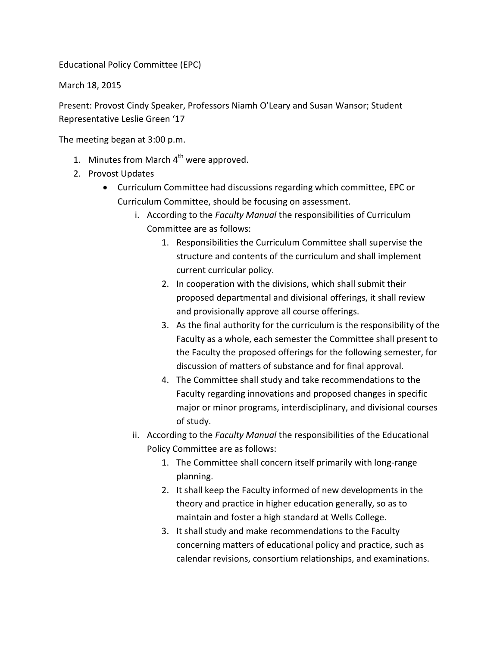Educational Policy Committee (EPC)

March 18, 2015

Present: Provost Cindy Speaker, Professors Niamh O'Leary and Susan Wansor; Student Representative Leslie Green '17

The meeting began at 3:00 p.m.

- 1. Minutes from March  $4<sup>th</sup>$  were approved.
- 2. Provost Updates
	- Curriculum Committee had discussions regarding which committee, EPC or Curriculum Committee, should be focusing on assessment.
		- i. According to the *Faculty Manual* the responsibilities of Curriculum Committee are as follows:
			- 1. Responsibilities the Curriculum Committee shall supervise the structure and contents of the curriculum and shall implement current curricular policy.
			- 2. In cooperation with the divisions, which shall submit their proposed departmental and divisional offerings, it shall review and provisionally approve all course offerings.
			- 3. As the final authority for the curriculum is the responsibility of the Faculty as a whole, each semester the Committee shall present to the Faculty the proposed offerings for the following semester, for discussion of matters of substance and for final approval.
			- 4. The Committee shall study and take recommendations to the Faculty regarding innovations and proposed changes in specific major or minor programs, interdisciplinary, and divisional courses of study.
		- ii. According to the *Faculty Manual* the responsibilities of the Educational Policy Committee are as follows:
			- 1. The Committee shall concern itself primarily with long-range planning.
			- 2. It shall keep the Faculty informed of new developments in the theory and practice in higher education generally, so as to maintain and foster a high standard at Wells College.
			- 3. It shall study and make recommendations to the Faculty concerning matters of educational policy and practice, such as calendar revisions, consortium relationships, and examinations.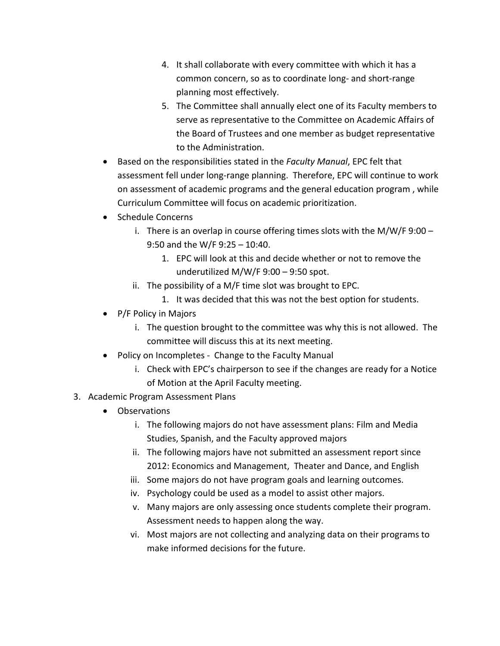- 4. It shall collaborate with every committee with which it has a common concern, so as to coordinate long- and short-range planning most effectively.
- 5. The Committee shall annually elect one of its Faculty members to serve as representative to the Committee on Academic Affairs of the Board of Trustees and one member as budget representative to the Administration.
- Based on the responsibilities stated in the *Faculty Manual*, EPC felt that assessment fell under long-range planning. Therefore, EPC will continue to work on assessment of academic programs and the general education program , while Curriculum Committee will focus on academic prioritization.
- Schedule Concerns
	- i. There is an overlap in course offering times slots with the M/W/F 9:00 9:50 and the W/F 9:25 – 10:40.
		- 1. EPC will look at this and decide whether or not to remove the underutilized M/W/F 9:00 – 9:50 spot.
	- ii. The possibility of a M/F time slot was brought to EPC.
		- 1. It was decided that this was not the best option for students.
- P/F Policy in Majors
	- i. The question brought to the committee was why this is not allowed. The committee will discuss this at its next meeting.
- Policy on Incompletes Change to the Faculty Manual
	- i. Check with EPC's chairperson to see if the changes are ready for a Notice of Motion at the April Faculty meeting.
- 3. Academic Program Assessment Plans
	- Observations
		- i. The following majors do not have assessment plans: Film and Media Studies, Spanish, and the Faculty approved majors
		- ii. The following majors have not submitted an assessment report since 2012: Economics and Management, Theater and Dance, and English
		- iii. Some majors do not have program goals and learning outcomes.
		- iv. Psychology could be used as a model to assist other majors.
		- v. Many majors are only assessing once students complete their program. Assessment needs to happen along the way.
		- vi. Most majors are not collecting and analyzing data on their programs to make informed decisions for the future.